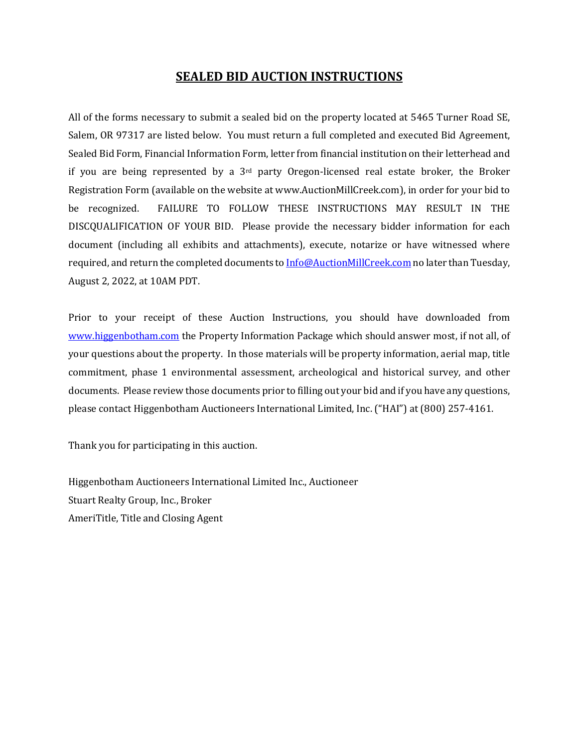### **SEALED BID AUCTION INSTRUCTIONS**

All of the forms necessary to submit a sealed bid on the property located at 5465 Turner Road SE, Salem, OR 97317 are listed below. You must return a full completed and executed Bid Agreement, Sealed Bid Form, Financial Information Form, letter from financial institution on their letterhead and if you are being represented by a  $3<sup>rd</sup>$  party Oregon-licensed real estate broker, the Broker Registration Form (available on the website at www.AuctionMillCreek.com), in order for your bid to be recognized. FAILURE TO FOLLOW THESE INSTRUCTIONS MAY RESULT IN THE DISCQUALIFICATION OF YOUR BID. Please provide the necessary bidder information for each document (including all exhibits and attachments), execute, notarize or have witnessed where required, and return the completed documents to **Info@AuctionMillCreek.com** no later than Tuesday, August 2, 2022, at 10AM PDT. 

Prior to your receipt of these Auction Instructions, you should have downloaded from www.higgenbotham.com the Property Information Package which should answer most, if not all, of your questions about the property. In those materials will be property information, aerial map, title commitment, phase 1 environmental assessment, archeological and historical survey, and other documents. Please review those documents prior to filling out your bid and if you have any questions, please contact Higgenbotham Auctioneers International Limited, Inc. ("HAI") at (800) 257-4161.

Thank you for participating in this auction.

Higgenbotham Auctioneers International Limited Inc., Auctioneer Stuart Realty Group, Inc., Broker AmeriTitle, Title and Closing Agent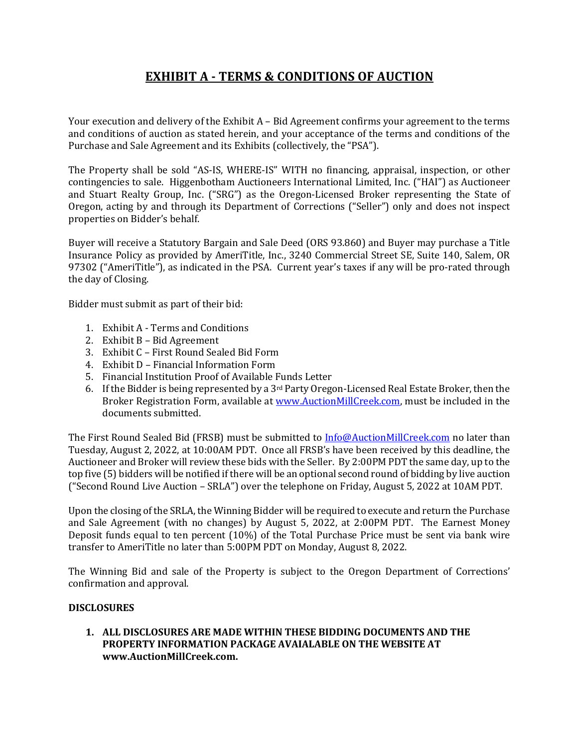## **EXHIBIT A - TERMS & CONDITIONS OF AUCTION**

Your execution and delivery of the Exhibit  $A - Bid$  Agreement confirms your agreement to the terms and conditions of auction as stated herein, and your acceptance of the terms and conditions of the Purchase and Sale Agreement and its Exhibits (collectively, the "PSA").

The Property shall be sold "AS-IS, WHERE-IS" WITH no financing, appraisal, inspection, or other contingencies to sale. Higgenbotham Auctioneers International Limited, Inc. ("HAI") as Auctioneer and Stuart Realty Group, Inc. ("SRG") as the Oregon-Licensed Broker representing the State of Oregon, acting by and through its Department of Corrections ("Seller") only and does not inspect properties on Bidder's behalf.

Buyer will receive a Statutory Bargain and Sale Deed (ORS 93.860) and Buyer may purchase a Title Insurance Policy as provided by AmeriTitle, Inc., 3240 Commercial Street SE, Suite 140, Salem, OR 97302 ("AmeriTitle"), as indicated in the PSA. Current year's taxes if any will be pro-rated through the day of Closing.

Bidder must submit as part of their bid:

- 1. Exhibit A Terms and Conditions
- 2. Exhibit  $B Bid$  Agreement
- 3. Exhibit C First Round Sealed Bid Form
- 4. Exhibit D Financial Information Form
- 5. Financial Institution Proof of Available Funds Letter
- 6. If the Bidder is being represented by a 3<sup>rd</sup> Party Oregon-Licensed Real Estate Broker, then the Broker Registration Form, available at www.AuctionMillCreek.com, must be included in the documents submitted.

The First Round Sealed Bid (FRSB) must be submitted to Info@AuctionMillCreek.com no later than Tuesday, August 2, 2022, at 10:00AM PDT. Once all FRSB's have been received by this deadline, the Auctioneer and Broker will review these bids with the Seller. By 2:00PM PDT the same day, up to the top five (5) bidders will be notified if there will be an optional second round of bidding by live auction ("Second Round Live Auction - SRLA") over the telephone on Friday, August 5, 2022 at 10AM PDT.

Upon the closing of the SRLA, the Winning Bidder will be required to execute and return the Purchase and Sale Agreement (with no changes) by August 5, 2022, at 2:00PM PDT. The Earnest Money Deposit funds equal to ten percent  $(10\%)$  of the Total Purchase Price must be sent via bank wire transfer to AmeriTitle no later than 5:00PM PDT on Monday, August 8, 2022.

The Winning Bid and sale of the Property is subject to the Oregon Department of Corrections' confirmation and approval.

#### **DISCLOSURES**

### 1. ALL DISCLOSURES ARE MADE WITHIN THESE BIDDING DOCUMENTS AND THE PROPERTY INFORMATION PACKAGE AVAIALABLE ON THE WEBSITE AT **www.AuctionMillCreek.com.**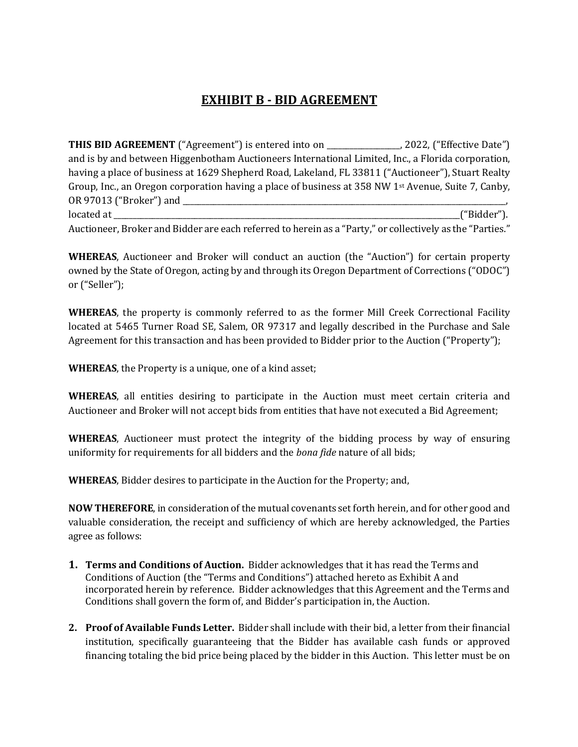# **EXHIBIT B - BID AGREEMENT**

**THIS BID AGREEMENT** ("Agreement") is entered into on \_\_\_\_\_\_\_\_\_\_\_\_\_\_, 2022, ("Effective Date") and is by and between Higgenbotham Auctioneers International Limited, Inc., a Florida corporation, having a place of business at 1629 Shepherd Road, Lakeland, FL 33811 ("Auctioneer"), Stuart Realty Group, Inc., an Oregon corporation having a place of business at 358 NW 1st Avenue, Suite 7, Canby, OR 97013 ("Broker") and \_\_\_\_\_\_\_\_\_\_\_\_\_\_\_\_\_\_\_\_\_\_\_\_\_\_\_\_\_\_\_\_\_\_\_\_\_\_\_\_\_\_\_\_\_\_\_\_\_\_\_\_\_\_\_\_\_\_\_\_\_\_\_\_\_\_\_\_\_\_\_\_\_\_\_\_\_\_\_\_\_\_\_\_, located at  $($ "Bidder").

Auctioneer, Broker and Bidder are each referred to herein as a "Party," or collectively as the "Parties."

**WHEREAS**, Auctioneer and Broker will conduct an auction (the "Auction") for certain property owned by the State of Oregon, acting by and through its Oregon Department of Corrections ("ODOC") or ("Seller");

**WHEREAS**, the property is commonly referred to as the former Mill Creek Correctional Facility located at 5465 Turner Road SE, Salem, OR 97317 and legally described in the Purchase and Sale Agreement for this transaction and has been provided to Bidder prior to the Auction ("Property");

**WHEREAS**, the Property is a unique, one of a kind asset;

**WHEREAS**, all entities desiring to participate in the Auction must meet certain criteria and Auctioneer and Broker will not accept bids from entities that have not executed a Bid Agreement;

**WHEREAS**, Auctioneer must protect the integrity of the bidding process by way of ensuring uniformity for requirements for all bidders and the *bona fide* nature of all bids;

**WHEREAS**, Bidder desires to participate in the Auction for the Property; and,

**NOW THEREFORE**, in consideration of the mutual covenants set forth herein, and for other good and valuable consideration, the receipt and sufficiency of which are hereby acknowledged, the Parties agree as follows:

- **1. Terms and Conditions of Auction.** Bidder acknowledges that it has read the Terms and Conditions of Auction (the "Terms and Conditions") attached hereto as Exhibit A and incorporated herein by reference. Bidder acknowledges that this Agreement and the Terms and Conditions shall govern the form of, and Bidder's participation in, the Auction.
- **2.** Proof of Available Funds Letter. Bidder shall include with their bid, a letter from their financial institution, specifically guaranteeing that the Bidder has available cash funds or approved financing totaling the bid price being placed by the bidder in this Auction. This letter must be on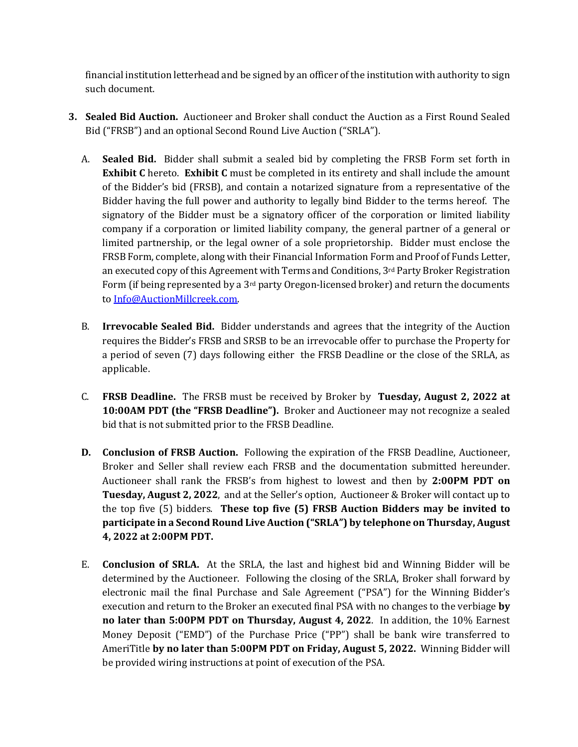financial institution letterhead and be signed by an officer of the institution with authority to sign such document.

- **3. Sealed Bid Auction.** Auctioneer and Broker shall conduct the Auction as a First Round Sealed Bid ("FRSB") and an optional Second Round Live Auction ("SRLA").
	- A. **Sealed Bid.** Bidder shall submit a sealed bid by completing the FRSB Form set forth in **Exhibit C** hereto. Exhibit C must be completed in its entirety and shall include the amount of the Bidder's bid (FRSB), and contain a notarized signature from a representative of the Bidder having the full power and authority to legally bind Bidder to the terms hereof. The signatory of the Bidder must be a signatory officer of the corporation or limited liability company if a corporation or limited liability company, the general partner of a general or limited partnership, or the legal owner of a sole proprietorship. Bidder must enclose the FRSB Form, complete, along with their Financial Information Form and Proof of Funds Letter, an executed copy of this Agreement with Terms and Conditions,  $3<sup>rd</sup>$  Party Broker Registration Form (if being represented by a  $3<sup>rd</sup>$  party Oregon-licensed broker) and return the documents to Info@AuctionMillcreek.com.
	- B. **Irrevocable Sealed Bid.** Bidder understands and agrees that the integrity of the Auction requires the Bidder's FRSB and SRSB to be an irrevocable offer to purchase the Property for a period of seven (7) days following either the FRSB Deadline or the close of the SRLA, as applicable.
	- C. **FRSB Deadline.** The FRSB must be received by Broker by Tuesday, August 2, 2022 at **10:00AM PDT (the "FRSB Deadline").** Broker and Auctioneer may not recognize a sealed bid that is not submitted prior to the FRSB Deadline.
	- **D. Conclusion of FRSB Auction.** Following the expiration of the FRSB Deadline, Auctioneer, Broker and Seller shall review each FRSB and the documentation submitted hereunder. Auctioneer shall rank the FRSB's from highest to lowest and then by 2:00PM PDT on **Tuesday, August 2, 2022**, and at the Seller's option, Auctioneer & Broker will contact up to the top five (5) bidders. These top five (5) FRSB Auction Bidders may be invited to **participate in a Second Round Live Auction ("SRLA") by telephone on Thursday, August 4, 2022 at 2:00PM PDT.**
	- E. **Conclusion of SRLA.** At the SRLA, the last and highest bid and Winning Bidder will be determined by the Auctioneer. Following the closing of the SRLA, Broker shall forward by electronic mail the final Purchase and Sale Agreement ("PSA") for the Winning Bidder's execution and return to the Broker an executed final PSA with no changes to the verbiage by **no later than 5:00PM PDT on Thursday, August 4, 2022.** In addition, the 10% Earnest Money Deposit ("EMD") of the Purchase Price ("PP") shall be bank wire transferred to AmeriTitle by no later than 5:00PM PDT on Friday, August 5, 2022. Winning Bidder will be provided wiring instructions at point of execution of the PSA.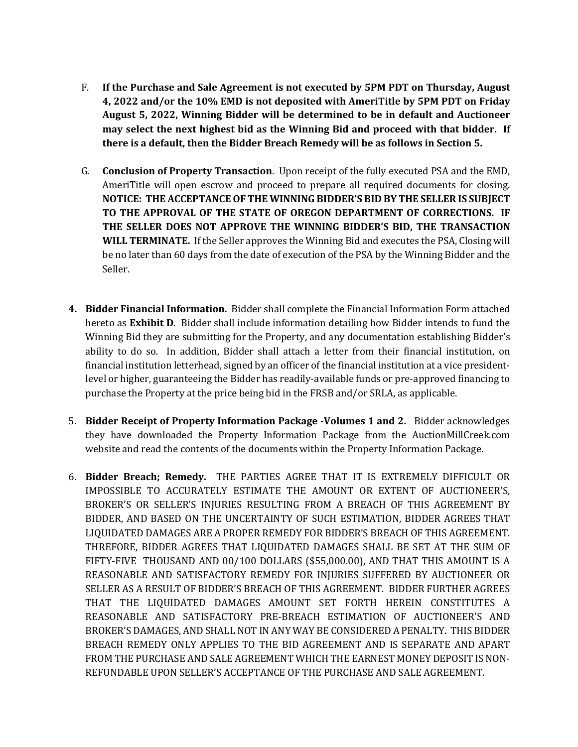- F. If the Purchase and Sale Agreement is not executed by 5PM PDT on Thursday, August **4, 2022 and/or the 10% EMD is not deposited with AmeriTitle by 5PM PDT on Friday** August 5, 2022, Winning Bidder will be determined to be in default and Auctioneer may select the next highest bid as the Winning Bid and proceed with that bidder. If **there is a default, then the Bidder Breach Remedy will be as follows in Section 5.**
- G. **Conclusion of Property Transaction**. Upon receipt of the fully executed PSA and the EMD, AmeriTitle will open escrow and proceed to prepare all required documents for closing. **NOTICE: THE ACCEPTANCE OF THE WINNING BIDDER'S BID BY THE SELLER IS SUBJECT TO THE APPROVAL OF THE STATE OF OREGON DEPARTMENT OF CORRECTIONS. IF** THE SELLER DOES NOT APPROVE THE WINNING BIDDER'S BID, THE TRANSACTION **WILL TERMINATE.** If the Seller approves the Winning Bid and executes the PSA, Closing will be no later than 60 days from the date of execution of the PSA by the Winning Bidder and the Seller.
- **4. Bidder Financial Information.** Bidder shall complete the Financial Information Form attached hereto as **Exhibit D**. Bidder shall include information detailing how Bidder intends to fund the Winning Bid they are submitting for the Property, and any documentation establishing Bidder's ability to do so. In addition, Bidder shall attach a letter from their financial institution, on financial institution letterhead, signed by an officer of the financial institution at a vice presidentlevel or higher, guaranteeing the Bidder has readily-available funds or pre-approved financing to purchase the Property at the price being bid in the FRSB and/or SRLA, as applicable.
- 5. **Bidder Receipt of Property Information Package -Volumes 1 and 2.** Bidder acknowledges they have downloaded the Property Information Package from the AuctionMillCreek.com website and read the contents of the documents within the Property Information Package.
- 6. Bidder Breach; Remedy. THE PARTIES AGREE THAT IT IS EXTREMELY DIFFICULT OR IMPOSSIBLE TO ACCURATELY ESTIMATE THE AMOUNT OR EXTENT OF AUCTIONEER'S, BROKER'S OR SELLER'S INJURIES RESULTING FROM A BREACH OF THIS AGREEMENT BY BIDDER, AND BASED ON THE UNCERTAINTY OF SUCH ESTIMATION, BIDDER AGREES THAT LIQUIDATED DAMAGES ARE A PROPER REMEDY FOR BIDDER'S BREACH OF THIS AGREEMENT. THREFORE, BIDDER AGREES THAT LIQUIDATED DAMAGES SHALL BE SET AT THE SUM OF FIFTY-FIVE THOUSAND AND 00/100 DOLLARS (\$55,000.00), AND THAT THIS AMOUNT IS A REASONABLE AND SATISFACTORY REMEDY FOR INJURIES SUFFERED BY AUCTIONEER OR SELLER AS A RESULT OF BIDDER'S BREACH OF THIS AGREEMENT. BIDDER FURTHER AGREES THAT THE LIQUIDATED DAMAGES AMOUNT SET FORTH HEREIN CONSTITUTES A REASONABLE AND SATISFACTORY PRE-BREACH ESTIMATION OF AUCTIONEER'S AND BROKER'S DAMAGES, AND SHALL NOT IN ANY WAY BE CONSIDERED A PENALTY. THIS BIDDER BREACH REMEDY ONLY APPLIES TO THE BID AGREEMENT AND IS SEPARATE AND APART FROM THE PURCHASE AND SALE AGREEMENT WHICH THE EARNEST MONEY DEPOSIT IS NON-REFUNDABLE UPON SELLER'S ACCEPTANCE OF THE PURCHASE AND SALE AGREEMENT.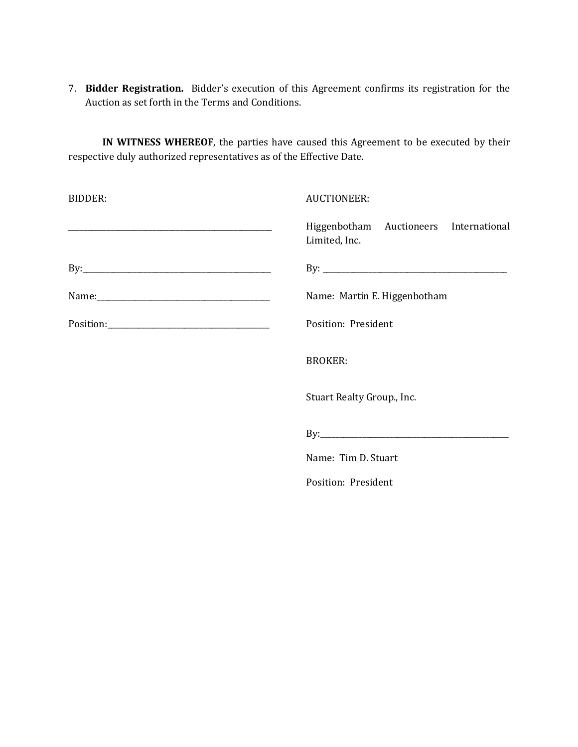7. **Bidder Registration.** Bidder's execution of this Agreement confirms its registration for the Auction as set forth in the Terms and Conditions.

**IN WITNESS WHEREOF**, the parties have caused this Agreement to be executed by their respective duly authorized representatives as of the Effective Date.

| <b>BIDDER:</b> | <b>AUCTIONEER:</b>                                      |  |  |
|----------------|---------------------------------------------------------|--|--|
|                | Higgenbotham Auctioneers International<br>Limited, Inc. |  |  |
|                |                                                         |  |  |
|                | Name: Martin E. Higgenbotham                            |  |  |
|                | Position: President                                     |  |  |
|                | <b>BROKER:</b>                                          |  |  |
|                | Stuart Realty Group., Inc.                              |  |  |
|                |                                                         |  |  |
|                | Name: Tim D. Stuart                                     |  |  |
|                | Position: President                                     |  |  |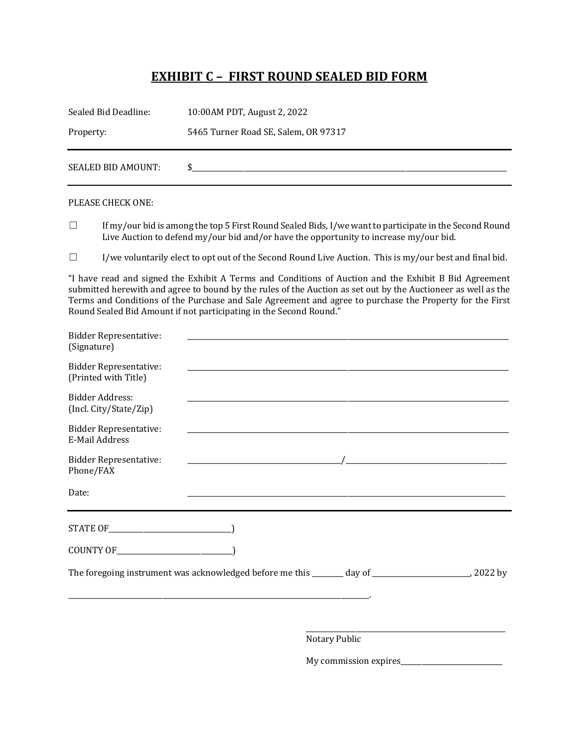### **EXHIBIT C - FIRST ROUND SEALED BID FORM**

| Sealed Bid Deadline: | 10:00 AM PDT, August 2, 2022         |
|----------------------|--------------------------------------|
| Property:            | 5465 Turner Road SE, Salem, OR 97317 |
| SEALED BID AMOUNT:   |                                      |

#### PLEASE CHECK ONE:

 $\Box$  If my/our bid is among the top 5 First Round Sealed Bids, I/we want to participate in the Second Round Live Auction to defend my/our bid and/or have the opportunity to increase my/our bid.

 $\Box$  I/we voluntarily elect to opt out of the Second Round Live Auction. This is my/our best and final bid.

"I have read and signed the Exhibit A Terms and Conditions of Auction and the Exhibit B Bid Agreement submitted herewith and agree to bound by the rules of the Auction as set out by the Auctioneer as well as the Terms and Conditions of the Purchase and Sale Agreement and agree to purchase the Property for the First Round Sealed Bid Amount if not participating in the Second Round."

| <b>Bidder Representative:</b><br>(Signature)          |                                                                                                                    |                                                                                                                       |  |
|-------------------------------------------------------|--------------------------------------------------------------------------------------------------------------------|-----------------------------------------------------------------------------------------------------------------------|--|
| <b>Bidder Representative:</b><br>(Printed with Title) | <u> 1980 - Jan James James James James James James James James James James James James James James James James</u> |                                                                                                                       |  |
| Bidder Address:<br>(Incl. City/State/Zip)             |                                                                                                                    | <u> 1989 - Johann Stoff, deutscher Stoff, der Stoff, der Stoff, der Stoff, der Stoff, der Stoff, der Stoff, der S</u> |  |
| <b>Bidder Representative:</b><br>E-Mail Address       |                                                                                                                    |                                                                                                                       |  |
| <b>Bidder Representative:</b><br>Phone/FAX            |                                                                                                                    |                                                                                                                       |  |
| Date:                                                 |                                                                                                                    |                                                                                                                       |  |
|                                                       |                                                                                                                    |                                                                                                                       |  |
|                                                       |                                                                                                                    |                                                                                                                       |  |
|                                                       |                                                                                                                    |                                                                                                                       |  |
|                                                       |                                                                                                                    |                                                                                                                       |  |
|                                                       |                                                                                                                    | Notary Public                                                                                                         |  |

My commission expires\_\_\_\_\_\_\_\_\_\_\_\_\_\_\_\_\_\_\_\_\_\_\_\_\_\_\_\_\_